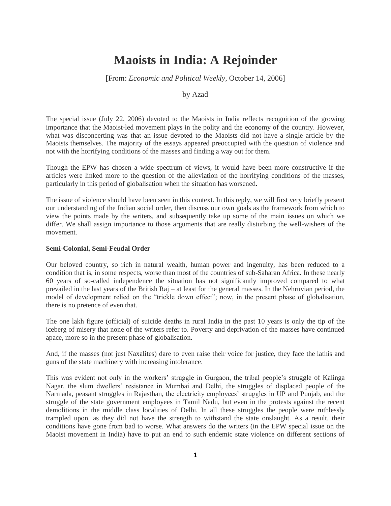# **Maoists in India: A Rejoinder**

[From: *Economic and Political Weekly*, October 14, 2006]

by Azad

The special issue (July 22, 2006) devoted to the Maoists in India reflects recognition of the growing importance that the Maoist-led movement plays in the polity and the economy of the country. However, what was disconcerting was that an issue devoted to the Maoists did not have a single article by the Maoists themselves. The majority of the essays appeared preoccupied with the question of violence and not with the horrifying conditions of the masses and finding a way out for them.

Though the EPW has chosen a wide spectrum of views, it would have been more constructive if the articles were linked more to the question of the alleviation of the horrifying conditions of the masses, particularly in this period of globalisation when the situation has worsened.

The issue of violence should have been seen in this context. In this reply, we will first very briefly present our understanding of the Indian social order, then discuss our own goals as the framework from which to view the points made by the writers, and subsequently take up some of the main issues on which we differ. We shall assign importance to those arguments that are really disturbing the well-wishers of the movement.

## **Semi-Colonial, Semi-Feudal Order**

Our beloved country, so rich in natural wealth, human power and ingenuity, has been reduced to a condition that is, in some respects, worse than most of the countries of sub-Saharan Africa. In these nearly 60 years of so-called independence the situation has not significantly improved compared to what prevailed in the last years of the British Raj – at least for the general masses. In the Nehruvian period, the model of development relied on the "trickle down effect"; now, in the present phase of globalisation, there is no pretence of even that.

The one lakh figure (official) of suicide deaths in rural India in the past 10 years is only the tip of the iceberg of misery that none of the writers refer to. Poverty and deprivation of the masses have continued apace, more so in the present phase of globalisation.

And, if the masses (not just Naxalites) dare to even raise their voice for justice, they face the lathis and guns of the state machinery with increasing intolerance.

This was evident not only in the workers" struggle in Gurgaon, the tribal people"s struggle of Kalinga Nagar, the slum dwellers" resistance in Mumbai and Delhi, the struggles of displaced people of the Narmada, peasant struggles in Rajasthan, the electricity employees" struggles in UP and Punjab, and the struggle of the state government employees in Tamil Nadu, but even in the protests against the recent demolitions in the middle class localities of Delhi. In all these struggles the people were ruthlessly trampled upon, as they did not have the strength to withstand the state onslaught. As a result, their conditions have gone from bad to worse. What answers do the writers (in the EPW special issue on the Maoist movement in India) have to put an end to such endemic state violence on different sections of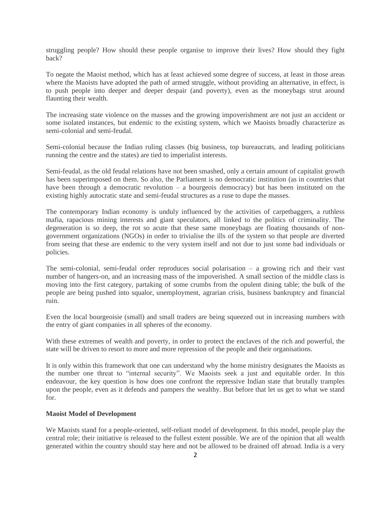struggling people? How should these people organise to improve their lives? How should they fight back?

To negate the Maoist method, which has at least achieved some degree of success, at least in those areas where the Maoists have adopted the path of armed struggle, without providing an alternative, in effect, is to push people into deeper and deeper despair (and poverty), even as the moneybags strut around flaunting their wealth.

The increasing state violence on the masses and the growing impoverishment are not just an accident or some isolated instances, but endemic to the existing system, which we Maoists broadly characterize as semi-colonial and semi-feudal.

Semi-colonial because the Indian ruling classes (big business, top bureaucrats, and leading politicians running the centre and the states) are tied to imperialist interests.

Semi-feudal, as the old feudal relations have not been smashed, only a certain amount of capitalist growth has been superimposed on them. So also, the Parliament is no democratic institution (as in countries that have been through a democratic revolution – a bourgeois democracy) but has been instituted on the existing highly autocratic state and semi-feudal structures as a ruse to dupe the masses.

The contemporary Indian economy is unduly influenced by the activities of carpetbaggers, a ruthless mafia, rapacious mining interests and giant speculators, all linked to the politics of criminality. The degeneration is so deep, the rot so acute that these same moneybags are floating thousands of nongovernment organizations (NGOs) in order to trivialise the ills of the system so that people are diverted from seeing that these are endemic to the very system itself and not due to just some bad individuals or policies.

The semi-colonial, semi-feudal order reproduces social polarisation – a growing rich and their vast number of hangers-on, and an increasing mass of the impoverished. A small section of the middle class is moving into the first category, partaking of some crumbs from the opulent dining table; the bulk of the people are being pushed into squalor, unemployment, agrarian crisis, business bankruptcy and financial ruin.

Even the local bourgeoisie (small) and small traders are being squeezed out in increasing numbers with the entry of giant companies in all spheres of the economy.

With these extremes of wealth and poverty, in order to protect the enclaves of the rich and powerful, the state will be driven to resort to more and more repression of the people and their organisations.

It is only within this framework that one can understand why the home ministry designates the Maoists as the number one threat to "internal security". We Maoists seek a just and equitable order. In this endeavour, the key question is how does one confront the repressive Indian state that brutally tramples upon the people, even as it defends and pampers the wealthy. But before that let us get to what we stand for.

## **Maoist Model of Development**

We Maoists stand for a people-oriented, self-reliant model of development. In this model, people play the central role; their initiative is released to the fullest extent possible. We are of the opinion that all wealth generated within the country should stay here and not be allowed to be drained off abroad. India is a very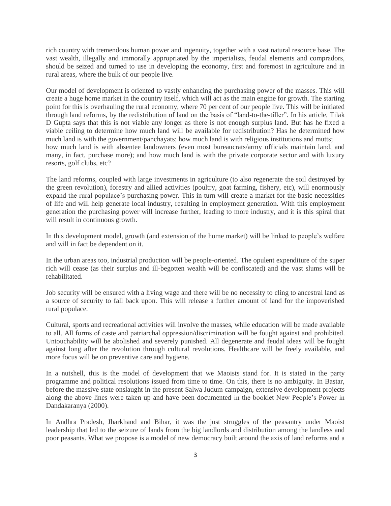rich country with tremendous human power and ingenuity, together with a vast natural resource base. The vast wealth, illegally and immorally appropriated by the imperialists, feudal elements and compradors, should be seized and turned to use in developing the economy, first and foremost in agriculture and in rural areas, where the bulk of our people live.

Our model of development is oriented to vastly enhancing the purchasing power of the masses. This will create a huge home market in the country itself, which will act as the main engine for growth. The starting point for this is overhauling the rural economy, where 70 per cent of our people live. This will be initiated through land reforms, by the redistribution of land on the basis of "land-to-the-tiller". In his article, Tilak D Gupta says that this is not viable any longer as there is not enough surplus land. But has he fixed a viable ceiling to determine how much land will be available for redistribution? Has he determined how much land is with the government/panchayats; how much land is with religious institutions and mutts; how much land is with absentee landowners (even most bureaucrats/army officials maintain land, and many, in fact, purchase more); and how much land is with the private corporate sector and with luxury resorts, golf clubs, etc?

The land reforms, coupled with large investments in agriculture (to also regenerate the soil destroyed by the green revolution), forestry and allied activities (poultry, goat farming, fishery, etc), will enormously expand the rural populace's purchasing power. This in turn will create a market for the basic necessities of life and will help generate local industry, resulting in employment generation. With this employment generation the purchasing power will increase further, leading to more industry, and it is this spiral that will result in continuous growth.

In this development model, growth (and extension of the home market) will be linked to people"s welfare and will in fact be dependent on it.

In the urban areas too, industrial production will be people-oriented. The opulent expenditure of the super rich will cease (as their surplus and ill-begotten wealth will be confiscated) and the vast slums will be rehabilitated.

Job security will be ensured with a living wage and there will be no necessity to cling to ancestral land as a source of security to fall back upon. This will release a further amount of land for the impoverished rural populace.

Cultural, sports and recreational activities will involve the masses, while education will be made available to all. All forms of caste and patriarchal oppression/discrimination will be fought against and prohibited. Untouchability will be abolished and severely punished. All degenerate and feudal ideas will be fought against long after the revolution through cultural revolutions. Healthcare will be freely available, and more focus will be on preventive care and hygiene.

In a nutshell, this is the model of development that we Maoists stand for. It is stated in the party programme and political resolutions issued from time to time. On this, there is no ambiguity. In Bastar, before the massive state onslaught in the present Salwa Judum campaign, extensive development projects along the above lines were taken up and have been documented in the booklet New People"s Power in Dandakaranya (2000).

In Andhra Pradesh, Jharkhand and Bihar, it was the just struggles of the peasantry under Maoist leadership that led to the seizure of lands from the big landlords and distribution among the landless and poor peasants. What we propose is a model of new democracy built around the axis of land reforms and a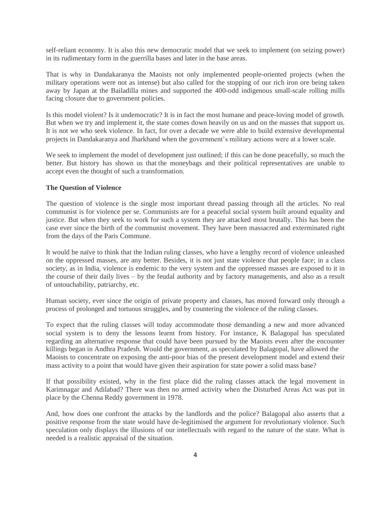self-reliant economy. It is also this new democratic model that we seek to implement (on seizing power) in its rudimentary form in the guerrilla bases and later in the base areas.

That is why in Dandakaranya the Maoists not only implemented people-oriented projects (when the military operations were not as intense) but also called for the stopping of our rich iron ore being taken away by Japan at the Bailadilla mines and supported the 400-odd indigenous small-scale rolling mills facing closure due to government policies.

Is this model violent? Is it undemocratic? It is in fact the most humane and peace-loving model of growth. But when we try and implement it, the state comes down heavily on us and on the masses that support us. It is not we who seek violence. In fact, for over a decade we were able to build extensive developmental projects in Dandakaranya and Jharkhand when the government's military actions were at a lower scale.

We seek to implement the model of development just outlined; if this can be done peacefully, so much the better. But history has shown us that the moneybags and their political representatives are unable to accept even the thought of such a transformation.

## **The Question of Violence**

The question of violence is the single most important thread passing through all the articles. No real communist is for violence per se. Communists are for a peaceful social system built around equality and justice. But when they seek to work for such a system they are attacked most brutally. This has been the case ever since the birth of the communist movement. They have been massacred and exterminated right from the days of the Paris Commune.

It would be naïve to think that the Indian ruling classes, who have a lengthy record of violence unleashed on the oppressed masses, are any better. Besides, it is not just state violence that people face; in a class society, as in India, violence is endemic to the very system and the oppressed masses are exposed to it in the course of their daily lives – by the feudal authority and by factory managements, and also as a result of untouchability, patriarchy, etc.

Human society, ever since the origin of private property and classes, has moved forward only through a process of prolonged and tortuous struggles, and by countering the violence of the ruling classes.

To expect that the ruling classes will today accommodate those demanding a new and more advanced social system is to deny the lessons learnt from history. For instance, K Balagopal has speculated regarding an alternative response that could have been pursued by the Maoists even after the encounter killings began in Andhra Pradesh. Would the government, as speculated by Balagopal, have allowed the Maoists to concentrate on exposing the anti-poor bias of the present development model and extend their mass activity to a point that would have given their aspiration for state power a solid mass base?

If that possibility existed, why in the first place did the ruling classes attack the legal movement in Karimnagar and Adilabad? There was then no armed activity when the Disturbed Areas Act was put in place by the Chenna Reddy government in 1978.

And, how does one confront the attacks by the landlords and the police? Balagopal also asserts that a positive response from the state would have de-legitimised the argument for revolutionary violence. Such speculation only displays the illusions of our intellectuals with regard to the nature of the state. What is needed is a realistic appraisal of the situation.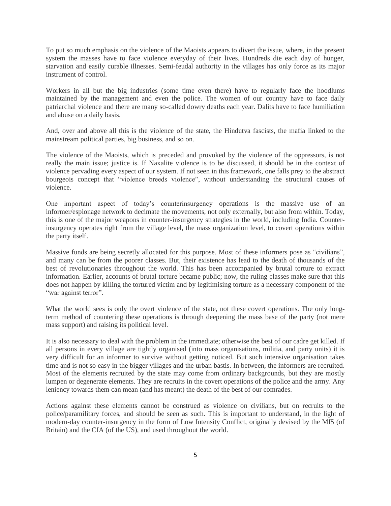To put so much emphasis on the violence of the Maoists appears to divert the issue, where, in the present system the masses have to face violence everyday of their lives. Hundreds die each day of hunger, starvation and easily curable illnesses. Semi-feudal authority in the villages has only force as its major instrument of control.

Workers in all but the big industries (some time even there) have to regularly face the hoodlums maintained by the management and even the police. The women of our country have to face daily patriarchal violence and there are many so-called dowry deaths each year. Dalits have to face humiliation and abuse on a daily basis.

And, over and above all this is the violence of the state, the Hindutva fascists, the mafia linked to the mainstream political parties, big business, and so on.

The violence of the Maoists, which is preceded and provoked by the violence of the oppressors, is not really the main issue; justice is. If Naxalite violence is to be discussed, it should be in the context of violence pervading every aspect of our system. If not seen in this framework, one falls prey to the abstract bourgeois concept that "violence breeds violence", without understanding the structural causes of violence.

One important aspect of today"s counterinsurgency operations is the massive use of an informer/espionage network to decimate the movements, not only externally, but also from within. Today, this is one of the major weapons in counter-insurgency strategies in the world, including India. Counterinsurgency operates right from the village level, the mass organization level, to covert operations within the party itself.

Massive funds are being secretly allocated for this purpose. Most of these informers pose as "civilians", and many can be from the poorer classes. But, their existence has lead to the death of thousands of the best of revolutionaries throughout the world. This has been accompanied by brutal torture to extract information. Earlier, accounts of brutal torture became public; now, the ruling classes make sure that this does not happen by killing the tortured victim and by legitimising torture as a necessary component of the "war against terror".

What the world sees is only the overt violence of the state, not these covert operations. The only longterm method of countering these operations is through deepening the mass base of the party (not mere mass support) and raising its political level.

It is also necessary to deal with the problem in the immediate; otherwise the best of our cadre get killed. If all persons in every village are tightly organised (into mass organisations, militia, and party units) it is very difficult for an informer to survive without getting noticed. But such intensive organisation takes time and is not so easy in the bigger villages and the urban bastis. In between, the informers are recruited. Most of the elements recruited by the state may come from ordinary backgrounds, but they are mostly lumpen or degenerate elements. They are recruits in the covert operations of the police and the army. Any leniency towards them can mean (and has meant) the death of the best of our comrades.

Actions against these elements cannot be construed as violence on civilians, but on recruits to the police/paramilitary forces, and should be seen as such. This is important to understand, in the light of modern-day counter-insurgency in the form of Low Intensity Conflict, originally devised by the MI5 (of Britain) and the CIA (of the US), and used throughout the world.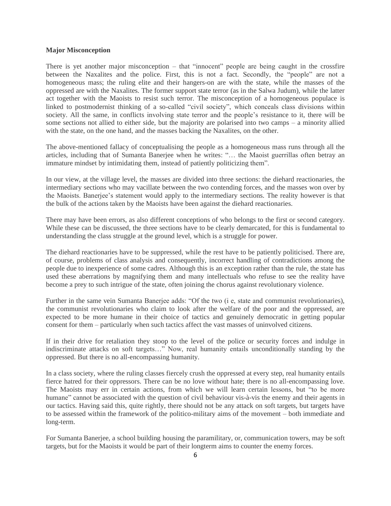#### **Major Misconception**

There is yet another major misconception – that "innocent" people are being caught in the crossfire between the Naxalites and the police. First, this is not a fact. Secondly, the "people" are not a homogeneous mass; the ruling elite and their hangers-on are with the state, while the masses of the oppressed are with the Naxalites. The former support state terror (as in the Salwa Judum), while the latter act together with the Maoists to resist such terror. The misconception of a homogeneous populace is linked to postmodernist thinking of a so-called "civil society", which conceals class divisions within society. All the same, in conflicts involving state terror and the people"s resistance to it, there will be some sections not allied to either side, but the majority are polarised into two camps – a minority allied with the state, on the one hand, and the masses backing the Naxalites, on the other.

The above-mentioned fallacy of conceptualising the people as a homogeneous mass runs through all the articles, including that of Sumanta Banerjee when he writes: "… the Maoist guerrillas often betray an immature mindset by intimidating them, instead of patiently politicizing them".

In our view, at the village level, the masses are divided into three sections: the diehard reactionaries, the intermediary sections who may vacillate between the two contending forces, and the masses won over by the Maoists. Banerjee"s statement would apply to the intermediary sections. The reality however is that the bulk of the actions taken by the Maoists have been against the diehard reactionaries.

There may have been errors, as also different conceptions of who belongs to the first or second category. While these can be discussed, the three sections have to be clearly demarcated, for this is fundamental to understanding the class struggle at the ground level, which is a struggle for power.

The diehard reactionaries have to be suppressed, while the rest have to be patiently politicised. There are, of course, problems of class analysis and consequently, incorrect handling of contradictions among the people due to inexperience of some cadres. Although this is an exception rather than the rule, the state has used these aberrations by magnifying them and many intellectuals who refuse to see the reality have become a prey to such intrigue of the state, often joining the chorus against revolutionary violence.

Further in the same vein Sumanta Banerjee adds: "Of the two (i e, state and communist revolutionaries), the communist revolutionaries who claim to look after the welfare of the poor and the oppressed, are expected to be more humane in their choice of tactics and genuinely democratic in getting popular consent for them – particularly when such tactics affect the vast masses of uninvolved citizens.

If in their drive for retaliation they stoop to the level of the police or security forces and indulge in indiscriminate attacks on soft targets…" Now, real humanity entails unconditionally standing by the oppressed. But there is no all-encompassing humanity.

In a class society, where the ruling classes fiercely crush the oppressed at every step, real humanity entails fierce hatred for their oppressors. There can be no love without hate; there is no all-encompassing love. The Maoists may err in certain actions, from which we will learn certain lessons, but "to be more humane" cannot be associated with the question of civil behaviour vis-à-vis the enemy and their agents in our tactics. Having said this, quite rightly, there should not be any attack on soft targets, but targets have to be assessed within the framework of the politico-military aims of the movement – both immediate and long-term.

For Sumanta Banerjee, a school building housing the paramilitary, or, communication towers, may be soft targets, but for the Maoists it would be part of their longterm aims to counter the enemy forces.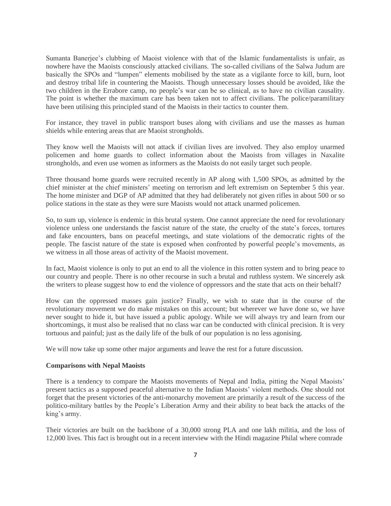Sumanta Banerjee"s clubbing of Maoist violence with that of the Islamic fundamentalists is unfair, as nowhere have the Maoists consciously attacked civilians. The so-called civilians of the Salwa Judum are basically the SPOs and "lumpen" elements mobilised by the state as a vigilante force to kill, burn, loot and destroy tribal life in countering the Maoists. Though unnecessary losses should be avoided, like the two children in the Errabore camp, no people"s war can be so clinical, as to have no civilian causality. The point is whether the maximum care has been taken not to affect civilians. The police/paramilitary have been utilising this principled stand of the Maoists in their tactics to counter them.

For instance, they travel in public transport buses along with civilians and use the masses as human shields while entering areas that are Maoist strongholds.

They know well the Maoists will not attack if civilian lives are involved. They also employ unarmed policemen and home guards to collect information about the Maoists from villages in Naxalite strongholds, and even use women as informers as the Maoists do not easily target such people.

Three thousand home guards were recruited recently in AP along with 1,500 SPOs, as admitted by the chief minister at the chief ministers" meeting on terrorism and left extremism on September 5 this year. The home minister and DGP of AP admitted that they had deliberately not given rifles in about 500 or so police stations in the state as they were sure Maoists would not attack unarmed policemen.

So, to sum up, violence is endemic in this brutal system. One cannot appreciate the need for revolutionary violence unless one understands the fascist nature of the state, the cruelty of the state"s forces, tortures and fake encounters, bans on peaceful meetings, and state violations of the democratic rights of the people. The fascist nature of the state is exposed when confronted by powerful people"s movements, as we witness in all those areas of activity of the Maoist movement.

In fact, Maoist violence is only to put an end to all the violence in this rotten system and to bring peace to our country and people. There is no other recourse in such a brutal and ruthless system. We sincerely ask the writers to please suggest how to end the violence of oppressors and the state that acts on their behalf?

How can the oppressed masses gain justice? Finally, we wish to state that in the course of the revolutionary movement we do make mistakes on this account; but wherever we have done so, we have never sought to hide it, but have issued a public apology. While we will always try and learn from our shortcomings, it must also be realised that no class war can be conducted with clinical precision. It is very tortuous and painful; just as the daily life of the bulk of our population is no less agonising.

We will now take up some other major arguments and leave the rest for a future discussion.

### **Comparisons with Nepal Maoists**

There is a tendency to compare the Maoists movements of Nepal and India, pitting the Nepal Maoists' present tactics as a supposed peaceful alternative to the Indian Maoists" violent methods. One should not forget that the present victories of the anti-monarchy movement are primarily a result of the success of the politico-military battles by the People"s Liberation Army and their ability to beat back the attacks of the king's army.

Their victories are built on the backbone of a 30,000 strong PLA and one lakh militia, and the loss of 12,000 lives. This fact is brought out in a recent interview with the Hindi magazine Philal where comrade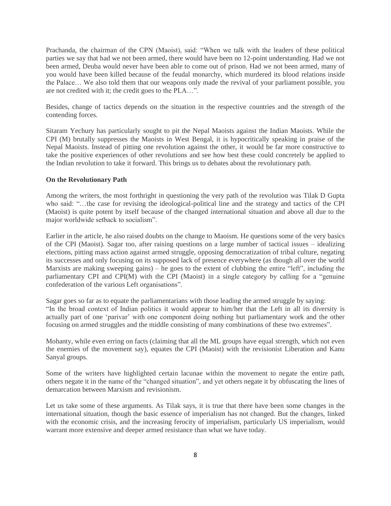Prachanda, the chairman of the CPN (Maoist), said: "When we talk with the leaders of these political parties we say that had we not been armed, there would have been no 12-point understanding. Had we not been armed, Deuba would never have been able to come out of prison. Had we not been armed, many of you would have been killed because of the feudal monarchy, which murdered its blood relations inside the Palace… We also told them that our weapons only made the revival of your parliament possible, you are not credited with it; the credit goes to the PLA…".

Besides, change of tactics depends on the situation in the respective countries and the strength of the contending forces.

Sitaram Yechury has particularly sought to pit the Nepal Maoists against the Indian Maoists. While the CPI (M) brutally suppresses the Maoists in West Bengal, it is hypocritically speaking in praise of the Nepal Maoists. Instead of pitting one revolution against the other, it would be far more constructive to take the positive experiences of other revolutions and see how best these could concretely be applied to the Indian revolution to take it forward. This brings us to debates about the revolutionary path.

## **On the Revolutionary Path**

Among the writers, the most forthright in questioning the very path of the revolution was Tilak D Gupta who said: "…the case for revising the ideological-political line and the strategy and tactics of the CPI (Maoist) is quite potent by itself because of the changed international situation and above all due to the major worldwide setback to socialism".

Earlier in the article, he also raised doubts on the change to Maoism. He questions some of the very basics of the CPI (Maoist). Sagar too, after raising questions on a large number of tactical issues – idealizing elections, pitting mass action against armed struggle, opposing democratization of tribal culture, negating its successes and only focusing on its supposed lack of presence everywhere (as though all over the world Marxists are making sweeping gains) – he goes to the extent of clubbing the entire "left", including the parliamentary CPI and CPI(M) with the CPI (Maoist) in a single category by calling for a "genuine confederation of the various Left organisations".

Sagar goes so far as to equate the parliamentarians with those leading the armed struggle by saying: "In the broad context of Indian politics it would appear to him/her that the Left in all its diversity is actually part of one "parivar" with one component doing nothing but parliamentary work and the other focusing on armed struggles and the middle consisting of many combinations of these two extremes".

Mohanty, while even erring on facts (claiming that all the ML groups have equal strength, which not even the enemies of the movement say), equates the CPI (Maoist) with the revisionist Liberation and Kanu Sanyal groups.

Some of the writers have highlighted certain lacunae within the movement to negate the entire path, others negate it in the name of the "changed situation", and yet others negate it by obfuscating the lines of demarcation between Marxism and revisionism.

Let us take some of these arguments. As Tilak says, it is true that there have been some changes in the international situation, though the basic essence of imperialism has not changed. But the changes, linked with the economic crisis, and the increasing ferocity of imperialism, particularly US imperialism, would warrant more extensive and deeper armed resistance than what we have today.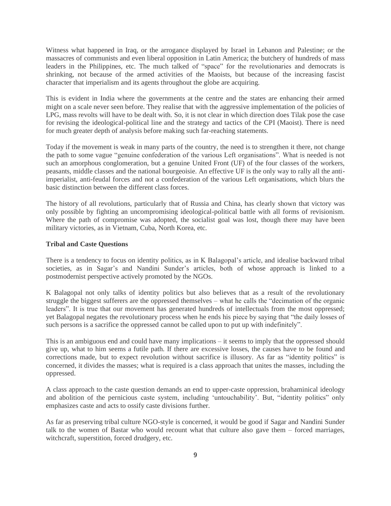Witness what happened in Iraq, or the arrogance displayed by Israel in Lebanon and Palestine; or the massacres of communists and even liberal opposition in Latin America; the butchery of hundreds of mass leaders in the Philippines, etc. The much talked of "space" for the revolutionaries and democrats is shrinking, not because of the armed activities of the Maoists, but because of the increasing fascist character that imperialism and its agents throughout the globe are acquiring.

This is evident in India where the governments at the centre and the states are enhancing their armed might on a scale never seen before. They realise that with the aggressive implementation of the policies of LPG, mass revolts will have to be dealt with. So, it is not clear in which direction does Tilak pose the case for revising the ideological-political line and the strategy and tactics of the CPI (Maoist). There is need for much greater depth of analysis before making such far-reaching statements.

Today if the movement is weak in many parts of the country, the need is to strengthen it there, not change the path to some vague "genuine confederation of the various Left organisations". What is needed is not such an amorphous conglomeration, but a genuine United Front (UF) of the four classes of the workers, peasants, middle classes and the national bourgeoisie. An effective UF is the only way to rally all the antiimperialist, anti-feudal forces and not a confederation of the various Left organisations, which blurs the basic distinction between the different class forces.

The history of all revolutions, particularly that of Russia and China, has clearly shown that victory was only possible by fighting an uncompromising ideological-political battle with all forms of revisionism. Where the path of compromise was adopted, the socialist goal was lost, though there may have been military victories, as in Vietnam, Cuba, North Korea, etc.

## **Tribal and Caste Questions**

There is a tendency to focus on identity politics, as in K Balagopal"s article, and idealise backward tribal societies, as in Sagar's and Nandini Sunder's articles, both of whose approach is linked to a postmodernist perspective actively promoted by the NGOs.

K Balagopal not only talks of identity politics but also believes that as a result of the revolutionary struggle the biggest sufferers are the oppressed themselves – what he calls the "decimation of the organic leaders". It is true that our movement has generated hundreds of intellectuals from the most oppressed; yet Balagopal negates the revolutionary process when he ends his piece by saying that "the daily losses of such persons is a sacrifice the oppressed cannot be called upon to put up with indefinitely".

This is an ambiguous end and could have many implications – it seems to imply that the oppressed should give up, what to him seems a futile path. If there are excessive losses, the causes have to be found and corrections made, but to expect revolution without sacrifice is illusory. As far as "identity politics" is concerned, it divides the masses; what is required is a class approach that unites the masses, including the oppressed.

A class approach to the caste question demands an end to upper-caste oppression, brahaminical ideology and abolition of the pernicious caste system, including "untouchability". But, "identity politics" only emphasizes caste and acts to ossify caste divisions further.

As far as preserving tribal culture NGO-style is concerned, it would be good if Sagar and Nandini Sunder talk to the women of Bastar who would recount what that culture also gave them – forced marriages, witchcraft, superstition, forced drudgery, etc.